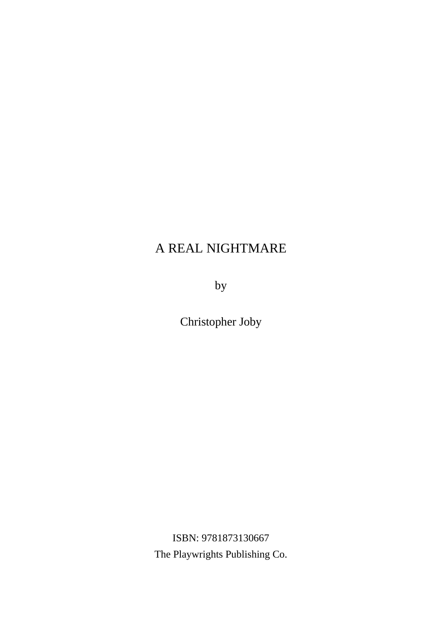by

Christopher Joby

ISBN: 9781873130667 The Playwrights Publishing Co.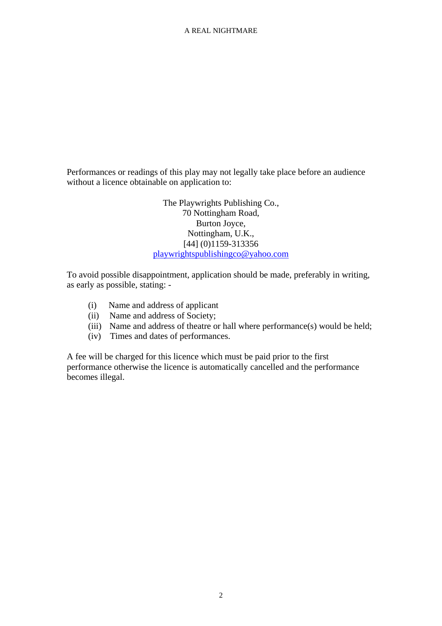Performances or readings of this play may not legally take place before an audience without a licence obtainable on application to:

> The Playwrights Publishing Co., 70 Nottingham Road, Burton Joyce, Nottingham, U.K., [44] (0)1159-313356 [playwrightspublishingco@yahoo.com](mailto:playwrightspublishingco@yahoo.com)

To avoid possible disappointment, application should be made, preferably in writing, as early as possible, stating: -

- (i) Name and address of applicant
- (ii) Name and address of Society;
- (iii) Name and address of theatre or hall where performance(s) would be held;
- (iv) Times and dates of performances.

A fee will be charged for this licence which must be paid prior to the first performance otherwise the licence is automatically cancelled and the performance becomes illegal.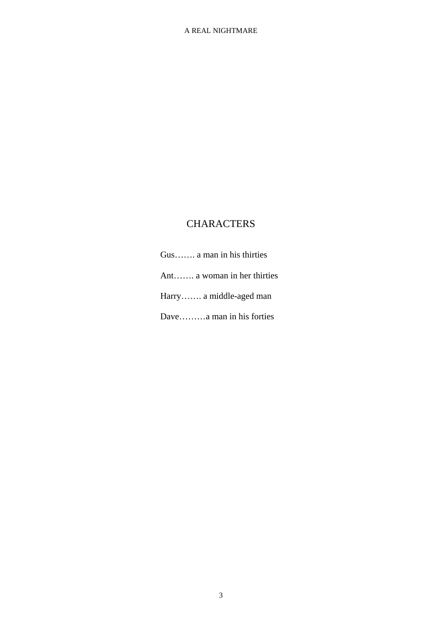# **CHARACTERS**

Gus……. a man in his thirties Ant……. a woman in her thirties Harry……. a middle-aged man Dave………a man in his forties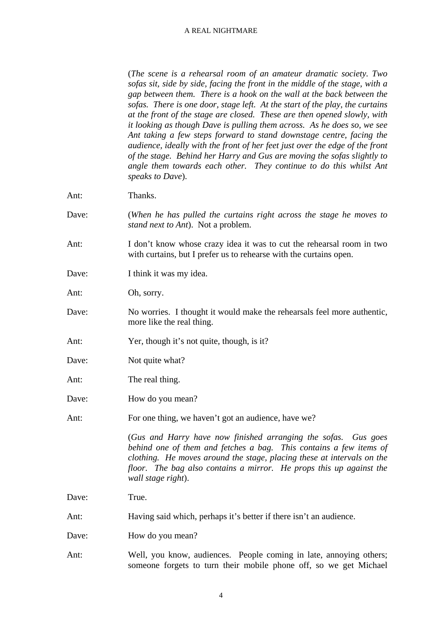(*The scene is a rehearsal room of an amateur dramatic society. Two sofas sit, side by side, facing the front in the middle of the stage, with a gap between them. There is a hook on the wall at the back between the sofas. There is one door, stage left. At the start of the play, the curtains at the front of the stage are closed. These are then opened slowly, with it looking as though Dave is pulling them across. As he does so, we see Ant taking a few steps forward to stand downstage centre, facing the audience, ideally with the front of her feet just over the edge of the front of the stage. Behind her Harry and Gus are moving the sofas slightly to angle them towards each other. They continue to do this whilst Ant speaks to Dave*).

Ant: Thanks.

- Dave: (*When he has pulled the curtains right across the stage he moves to stand next to Ant*). Not a problem.
- Ant: I don't know whose crazy idea it was to cut the rehearsal room in two with curtains, but I prefer us to rehearse with the curtains open.
- Dave: I think it was my idea.

Ant: Oh, sorry.

- Dave: No worries. I thought it would make the rehearsals feel more authentic, more like the real thing.
- Ant: Yer, though it's not quite, though, is it?
- Dave: Not quite what?
- Ant: The real thing.
- Dave: How do you mean?
- Ant: For one thing, we haven't got an audience, have we?

(*Gus and Harry have now finished arranging the sofas. Gus goes behind one of them and fetches a bag. This contains a few items of clothing. He moves around the stage, placing these at intervals on the floor. The bag also contains a mirror. He props this up against the wall stage right*).

Dave: True.

- Ant: Having said which, perhaps it's better if there isn't an audience.
- Dave: How do you mean?
- Ant: Well, you know, audiences. People coming in late, annoying others; someone forgets to turn their mobile phone off, so we get Michael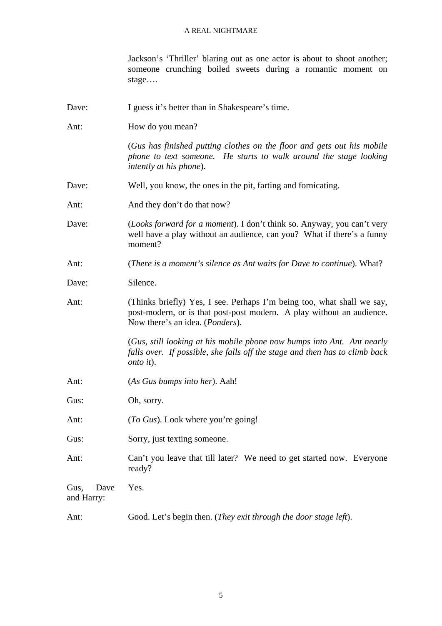Jackson's 'Thriller' blaring out as one actor is about to shoot another; someone crunching boiled sweets during a romantic moment on stage….

| Dave:                      | I guess it's better than in Shakespeare's time.                                                                                                                                    |
|----------------------------|------------------------------------------------------------------------------------------------------------------------------------------------------------------------------------|
| Ant:                       | How do you mean?                                                                                                                                                                   |
|                            | (Gus has finished putting clothes on the floor and gets out his mobile<br>phone to text someone. He starts to walk around the stage looking<br><i>intently at his phone</i> ).     |
| Dave:                      | Well, you know, the ones in the pit, farting and fornicating.                                                                                                                      |
| Ant:                       | And they don't do that now?                                                                                                                                                        |
| Dave:                      | (Looks forward for a moment). I don't think so. Anyway, you can't very<br>well have a play without an audience, can you? What if there's a funny<br>moment?                        |
| Ant:                       | (There is a moment's silence as Ant waits for Dave to continue). What?                                                                                                             |
| Dave:                      | Silence.                                                                                                                                                                           |
| Ant:                       | (Thinks briefly) Yes, I see. Perhaps I'm being too, what shall we say,<br>post-modern, or is that post-post modern. A play without an audience.<br>Now there's an idea. (Ponders). |
|                            | (Gus, still looking at his mobile phone now bumps into Ant. Ant nearly<br>falls over. If possible, she falls off the stage and then has to climb back<br>onto it).                 |
| Ant:                       | (As Gus bumps into her). Aah!                                                                                                                                                      |
| Gus:                       | Oh, sorry.                                                                                                                                                                         |
| Ant:                       | (To Gus). Look where you're going!                                                                                                                                                 |
| Gus:                       | Sorry, just texting someone.                                                                                                                                                       |
| Ant:                       | Can't you leave that till later? We need to get started now. Everyone<br>ready?                                                                                                    |
| Gus,<br>Dave<br>and Harry: | Yes.                                                                                                                                                                               |
| Ant:                       | Good. Let's begin then. (They exit through the door stage left).                                                                                                                   |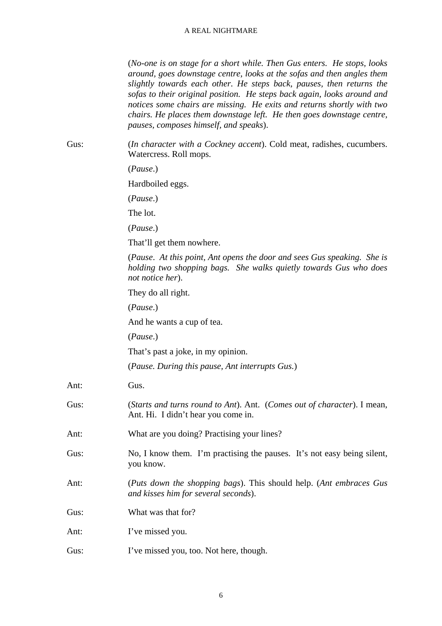(*No-one is on stage for a short while. Then Gus enters. He stops, looks around, goes downstage centre, looks at the sofas and then angles them slightly towards each other. He steps back, pauses, then returns the sofas to their original position. He steps back again, looks around and notices some chairs are missing. He exits and returns shortly with two chairs. He places them downstage left. He then goes downstage centre, pauses, composes himself, and speaks*).

Gus: (*In character with a Cockney accent*). Cold meat, radishes, cucumbers. Watercress. Roll mops.

(*Pause*.)

Hardboiled eggs.

(*Pause*.)

The lot.

(*Pause*.)

That'll get them nowhere.

(*Pause*. *At this point, Ant opens the door and sees Gus speaking. She is holding two shopping bags. She walks quietly towards Gus who does not notice her*).

They do all right.

(*Pause*.)

And he wants a cup of tea.

(*Pause*.)

That's past a joke, in my opinion.

(*Pause. During this pause, Ant interrupts Gus.*)

Ant: Gus.

Gus: (*Starts and turns round to Ant*). Ant. (*Comes out of character*). I mean, Ant. Hi. I didn't hear you come in.

Ant: What are you doing? Practising your lines?

Gus: No, I know them. I'm practising the pauses. It's not easy being silent, you know.

Ant: (*Puts down the shopping bags*). This should help. (*Ant embraces Gus and kisses him for several seconds*).

Gus: What was that for?

Ant: I've missed you.

Gus: I've missed you, too. Not here, though.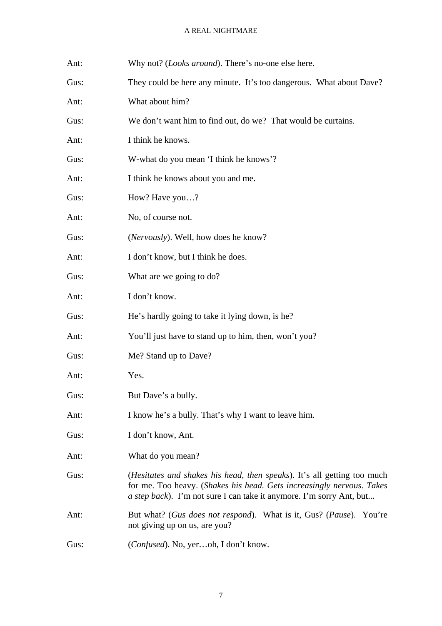| Ant: | Why not? ( <i>Looks around</i> ). There's no-one else here.                                                                                                                                                                              |
|------|------------------------------------------------------------------------------------------------------------------------------------------------------------------------------------------------------------------------------------------|
| Gus: | They could be here any minute. It's too dangerous. What about Dave?                                                                                                                                                                      |
| Ant: | What about him?                                                                                                                                                                                                                          |
| Gus: | We don't want him to find out, do we? That would be curtains.                                                                                                                                                                            |
| Ant: | I think he knows.                                                                                                                                                                                                                        |
| Gus: | W-what do you mean 'I think he knows'?                                                                                                                                                                                                   |
| Ant: | I think he knows about you and me.                                                                                                                                                                                                       |
| Gus: | How? Have you?                                                                                                                                                                                                                           |
| Ant: | No, of course not.                                                                                                                                                                                                                       |
| Gus: | ( <i>Nervously</i> ). Well, how does he know?                                                                                                                                                                                            |
| Ant: | I don't know, but I think he does.                                                                                                                                                                                                       |
| Gus: | What are we going to do?                                                                                                                                                                                                                 |
| Ant: | I don't know.                                                                                                                                                                                                                            |
| Gus: | He's hardly going to take it lying down, is he?                                                                                                                                                                                          |
| Ant: | You'll just have to stand up to him, then, won't you?                                                                                                                                                                                    |
| Gus: | Me? Stand up to Dave?                                                                                                                                                                                                                    |
| Ant: | Yes.                                                                                                                                                                                                                                     |
| Gus: | But Dave's a bully.                                                                                                                                                                                                                      |
| Ant: | I know he's a bully. That's why I want to leave him.                                                                                                                                                                                     |
| Gus: | I don't know, Ant.                                                                                                                                                                                                                       |
| Ant: | What do you mean?                                                                                                                                                                                                                        |
| Gus: | <i>(Hesitates and shakes his head, then speaks)</i> . It's all getting too much<br>for me. Too heavy. (Shakes his head. Gets increasingly nervous. Takes<br><i>a step back</i> ). I'm not sure I can take it anymore. I'm sorry Ant, but |
| Ant: | But what? (Gus does not respond). What is it, Gus? (Pause). You're<br>not giving up on us, are you?                                                                                                                                      |
| Gus: | <i>(Confused)</i> . No, yeroh, I don't know.                                                                                                                                                                                             |